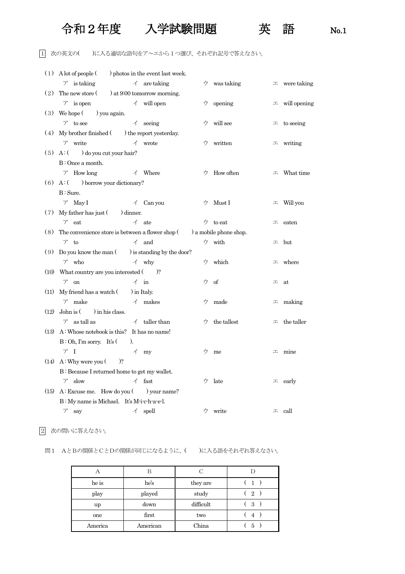## 令和2年度 入学試験問題 英 語 No.1



## 1 次の英文の( )に入る適切な語句をア~エから1つ選び、それぞれ記号で答えなさい。

|      | $(1)$ A lot of people $($ ) photos in the event last week.                    |                          |                       |    |                               |   |                      |
|------|-------------------------------------------------------------------------------|--------------------------|-----------------------|----|-------------------------------|---|----------------------|
|      | $\mathcal{T}$ is taking $\mathcal{T}$ are taking                              |                          |                       |    | $\dot{z}$ was taking          |   | $\perp$ were taking  |
|      | (2) The new store $($ $)$ at 9:00 tomorrow morning.                           |                          |                       |    |                               |   |                      |
|      | $\mathcal{T}$ is open $\mathcal{T}$ will open                                 |                          |                       |    | $\dot{\triangledown}$ opening |   | $\perp$ will opening |
|      | $(3)$ We hope $($ ) you again.                                                |                          |                       |    |                               |   |                      |
|      | $\mathcal{T}$ to see $\mathcal{T}$ seeing                                     |                          |                       |    | ウ will see                    |   | $\perp$ to seeing    |
|      | $(4)$ My brother finished $($ ) the report yesterday.                         |                          |                       |    |                               |   |                      |
|      | $\overrightarrow{A}$ wrote<br>$\nabla$ write                                  |                          |                       |    | ウ written                     |   | $\perp$ writing      |
|      | $(5)$ A: $($ $)$ do you cut your hair?                                        |                          |                       |    |                               |   |                      |
|      | B: Once a month.                                                              |                          |                       |    |                               |   |                      |
|      | $\mathcal{T}$ How long $\mathcal{A}$ Where                                    |                          |                       |    | $\forall$ How often           |   | $\perp$ What time    |
|      | $(6)$ A: $($ ) borrow your dictionary?                                        |                          |                       |    |                               |   |                      |
|      | B: Sure.                                                                      |                          |                       |    |                               |   |                      |
|      | $\nabla$ May I $\Delta$ Can you                                               |                          |                       |    | ウ Must I                      | 工 | Will you             |
| (7)  | $My$ father has just $($ $)$ dinner.                                          |                          |                       |    |                               |   |                      |
|      | $\nabla$ eat                                                                  |                          | $\angle$ ate          |    | ウ to eat                      |   | $\perp$ eaten        |
|      | (8) The convenience store is between a flower shop $($ ) a mobile phone shop. |                          |                       |    |                               |   |                      |
|      | $7$ to                                                                        |                          | $\triangleleft$ and   |    | ウ with                        |   | $\perp$ but          |
| (9)  | Do you know the man $($ ) is standing by the door?                            |                          |                       |    |                               |   |                      |
|      | $\nabla$ who<br>$\overrightarrow{A}$ why                                      |                          |                       |    | ウ which                       |   | $\perp$ where        |
|      | $(10)$ What country are you interested $($ $)$ ?                              |                          |                       |    |                               |   |                      |
|      | $\nabla$ on                                                                   |                          | $\angle$ in           |    | ウ of                          | 工 | at                   |
| (11) | My friend has a watch $($ $)$ in Italy.                                       |                          |                       |    |                               |   |                      |
|      | $\angle$ makes<br>$\nabla$ make                                               |                          |                       |    | ウ made                        |   | $\perp$ making       |
| (12) | John is $($ $)$ in his class.                                                 |                          |                       |    |                               |   |                      |
|      | as tall as                                                                    |                          | taller than           | ワー | the tallest                   |   | $\perp$ the taller   |
| (13) | A: Whose notebook is this? It has no name!                                    |                          |                       |    |                               |   |                      |
|      | $B:Oh, I'm$ sorry. It's $($                                                   | $\lambda$ .              |                       |    |                               |   |                      |
|      | 7 I                                                                           | $\overline{\mathcal{A}}$ | my                    | ウー | me                            | 工 | mine                 |
| (14) | A: Why were you (<br>$)$ ?                                                    |                          |                       |    |                               |   |                      |
|      | B: Because I returned home to get my wallet.                                  |                          |                       |    |                               |   |                      |
|      | slow<br>$\mathcal{T}$                                                         |                          | $\measuredangle$ fast | ウ  | late                          | 工 | early                |
| (15) | $A: Excase$ me. How do you (                                                  |                          | ) your name?          |    |                               |   |                      |
|      | B: My name is Michael. It's M-i-c-h-a-e-l.                                    |                          |                       |    |                               |   |                      |
|      | $\mathcal{T}$<br>say                                                          | イ                        | spell                 | ウ  | write                         | 工 | call                 |
|      |                                                                               |                          |                       |    |                               |   |                      |

2 次の問いに答えなさい。

## 問1 AとBの関係とCとDの関係が同じになるように、( )に入る語をそれぞれ答えなさい。

| А       | В        | С         |                |
|---------|----------|-----------|----------------|
| he is   | he's     | they are  | (1)            |
| play    | played   | study     | $\overline{2}$ |
| up      | down     | difficult | 3              |
| one     | first    | two       | 4              |
| America | American | China     | 5              |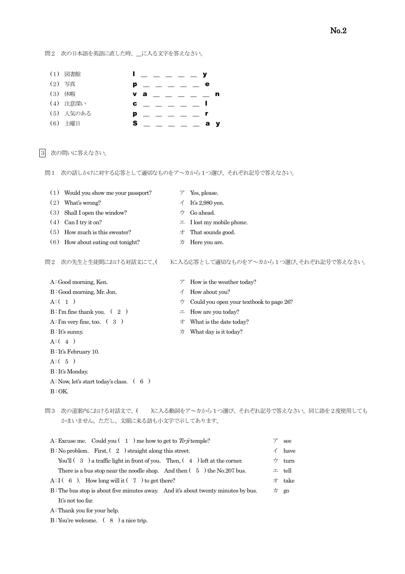問2 次の日本語を英語に直した時、\_\_に入る文字を答えなさい。

| (1) 図書館   | <u>in the second second second second second second second second second second second second second second second</u> |
|-----------|------------------------------------------------------------------------------------------------------------------------|
| (2) 写真    | р<br>е                                                                                                                 |
| (3) 休暇    | v a                                                                                                                    |
| (4) 注意深い  | C                                                                                                                      |
| (5) 人気のある | p                                                                                                                      |
| (6) 土曜日   | s<br>a y                                                                                                               |

3 次の問いに答えなさい。

問1 次の話しかけに対する応答として適切なものをア~カから1つ選び、それぞれ記号で答えなさい。

(1) Would you show me your passport?  $\mathcal{T}$  Yes, please. (2) What's wrong?  $\checkmark$  It's 2,980 yen. (3) Shall I open the window?  $\forall$  Go ahead. (4) Can I try it on?  $\Box$  I lost my mobile phone. (5) How much is this sweater?  $\forall$  That sounds good. (6) How about eating out tonight?  $\qquad \qquad \mathcal{D}$  Here you are. 問2 次の先生と生徒間における対話文にて、( )に入る応答として適切なものをア~カから1つ選び、それぞれ記号で答えなさい。 A: Good morning, Ken.  $\mathcal{P}$  How is the weather today?

 B : Good morning, Mr. Jon. イ How about you?  $A: (1)$   $\uparrow$  Could you open your textbook to page 26?  $B: \Gamma m$  fine thank you. ( 2 )  $\qquad \qquad \qquad \pm 1$  How are you today? A: I'm very fine, too.  $(3)$   $\forall$  What is the date today? B: It's sunny.  $\forall x \in \mathbb{R}$  What day is it today?  $A: (4)$  B : It's February 10.  $A: (5)$  B : It's Monday. A: Now, let's start today's class.  $(6)$  $B:OK.$ 

問3 次の道案内における対話文で、( )に入る動詞をア~カから1つ選び、それぞれ記号で答えなさい。同じ語を2度使用しても かまいません。ただし、文頭に来る語も小文字で示してあります。

| A: Excuse me. Could you (1) me how to get to To-ji temple?                        | see                   |
|-----------------------------------------------------------------------------------|-----------------------|
| $B:$ No problem. First, $(2)$ straight along this street.                         | $\measuredangle$ have |
| You'll $(3)$ a traffic light in front of you. Then, $(4)$ left at the corner.     | ウ turn                |
| There is a bus stop near the noodle shop. And then $(5)$ the No.207 bus.          | $\perp$ tell          |
| A: I (6). How long will it (7) to get there?                                      | 才 take                |
| B: The bus stop is about five minutes away. And it's about twenty minutes by bus. | $\overline{D}$ go     |
| It's not too far.                                                                 |                       |
|                                                                                   |                       |

A : Thank you for your help.

B: You're welcome. (8) a nice trip.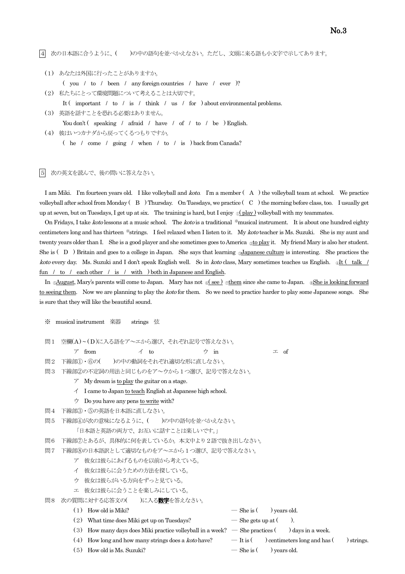|4| 次の日本語に合うように、( )の中の語句を並べかえなさい。ただし、文頭に来る語も小文字で示してあります。

- (1) あなたは外国に行ったことがありますか。
	- ( you / to / been / any foreign countries / have / ever )?
- (2) 私たちにとって環境問題について考えることは大切です。
- It ( important / to / is / think / us / for ) about environmental problems.
- (3) 英語を話すことを恐れる必要はありません。
	- You don't (speaking / afraid / have / of / to / be ) English.
- (4) 彼はいつカナダから戻ってくるつもりですか。 ( he / come / going / when / to / is ) back from Canada?
- 5 次の英文を読んで、後の問いに答えなさい。

I am Miki. I'm fourteen years old. I like volleyball and *koto*. I'm a member (A) the volleyball team at school. We practice volleyball after school from Monday ( B ) Thursday. On Tuesdays, we practice ( C )the morning before class, too. I usually get up at seven, but on Tuesdays, I get up at six. The training is hard, but I enjoy  $\mathbb{Q}(\text{play})$  volleyball with my teammates.

On Fridays, I take koto lessons at a music school. The koto is a traditional \*musical instrument. It is about one hundred eighty centimeters long and has thirteen \*strings. I feel relaxed when I listen to it. My koto teacher is Ms. Suzuki. She is my aunt and twenty years older than I. She is a good player and she sometimes goes to America <sub>@to play</sub> it. My friend Mary is also her student. She is (D) Britain and goes to a college in Japan. She says that learning <u>Japanese culture</u> is interesting. She practices the koto every day. Ms. Suzuki and I don't speak English well. So in koto class, Mary sometimes teaches us English. ⊕It (talk / fun / to / each other / is / with ) both in Japanese and English.

In <sub>©</sub>August, Mary's parents will come to Japan. Mary has not <sub>©</sub>(see) <sub>©</sub>them since she came to Japan. <sub>©</sub>She is looking forward to seeing them. Now we are planning to play the *koto* for them. So we need to practice harder to play some Japanese songs. She is sure that they will like the beautiful sound.

- ※ musical instrument 楽器 strings 弦
- 問1 空欄(A)~(D)に入る語をア~エから選び、それぞれ記号で答えなさい。

ア from  $\Lambda$  to  $\uparrow$  in エ of

- 問2 下線部①・⑥の( )の中の動詞をそれぞれ適切な形に直しなさい。
- 問3 下線部②の不定詞の用法と同じものをア~ウから1つ選び、記号で答えなさい。
	- $\mathcal{P}$  My dream is <u>to play</u> the guitar on a stage.
	- イ I came to Japan to teach English at Japanese high school.
	- $\dot{\triangledown}$  Do you have any pens to write with?
- 問4 下線部③・⑤の英語を日本語に直しなさい。
- 問5 下線部④が次の意味になるように、()の中の語句を並べかえなさい。
	- 「日本語と英語の両方で、お互いに話すことは楽しいです。」
- 問6 下線部⑦とあるが、具体的に何を表しているか。本文中より2語で抜き出しなさい。
- 問7 下線部⑧の日本語訳として適切なものをア~エから1つ選び、記号で答えなさい。
	- ア 彼女は彼らにあげるものを以前から考えている。
	- イ 彼女は彼らに会うための方法を探している。
	- ウ 彼女は彼らがいる方向をずっと見ている。
	- エ 彼女は彼らに会うことを楽しみにしている。
- 問8 次の質問に対する応答文の( )に入る数字を答えなさい。
	- (1) How old is Miki? She is ( ) years old.
		- (2) What time does Miki get up on Tuesdays? She gets up at  $($ ).
		- (3) How many days does Miki practice volleyball in a week? She practices ( $\Box$ ) days in a week.
		- (4) How long and how many strings does a *koto* have? It is ( $\blacksquare$ ) centimeters long and has ( $\blacksquare$ ) strings.
		- (5) How old is Ms. Suzuki? She is ( $\qquad$ ) years old.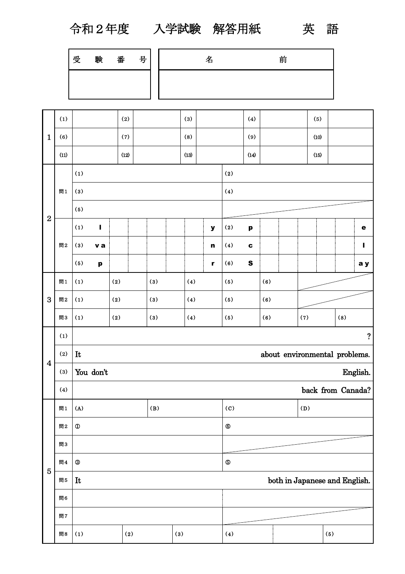令和2年度 入学試験 解答用紙 英 語

| 受 | 験 | 番 | 号 | ь<br>બ⊐ | 前 |  |
|---|---|---|---|---------|---|--|
|   |   |   |   |         |   |  |

|                | (1)  |                                  | (2) |  |     |                   | (3) |                               |                               | (4)                       |     |  |      | (5) |     |                |  |
|----------------|------|----------------------------------|-----|--|-----|-------------------|-----|-------------------------------|-------------------------------|---------------------------|-----|--|------|-----|-----|----------------|--|
| $\mathbf 1$    | (6)  | (7)                              |     |  |     | (8)               |     |                               | (9)                           |                           |     |  | (10) |     |     |                |  |
|                | (11) | (12)                             |     |  |     | (13)              |     |                               | (14)                          |                           |     |  | (15) |     |     |                |  |
|                |      | (1)                              | (2) |  |     |                   |     |                               |                               |                           |     |  |      |     |     |                |  |
|                | 間1   | (3)                              |     |  |     |                   |     |                               |                               |                           |     |  |      |     |     |                |  |
|                |      | (5)                              |     |  |     |                   |     |                               |                               |                           |     |  |      |     |     |                |  |
| $\overline{2}$ |      | (1)<br>$\mathbf{I}$              |     |  |     |                   |     | $\mathbf y$                   | (2)                           | $\boldsymbol{\mathsf{p}}$ |     |  |      |     |     | $\bullet$      |  |
|                | 問2   | (3)<br>v a                       |     |  |     |                   |     | $\mathbf n$                   | (4)                           | $\mathbf c$               |     |  |      |     |     | $\blacksquare$ |  |
|                |      | (5)<br>$\boldsymbol{\mathsf{p}}$ |     |  |     |                   |     | $\mathbf{r}$                  | (6)                           | $\boldsymbol{\mathsf{S}}$ |     |  |      |     |     | a y            |  |
|                | 問1   | (1)                              | (2) |  | (3) |                   | (4) |                               | (5)                           |                           | (6) |  |      |     |     |                |  |
| $\mathbf{3}$   | 問2   | (1)                              | (2) |  | (3) |                   | (4) |                               | (5)                           |                           | (6) |  |      |     |     |                |  |
|                | 問3   | (1)                              | (2) |  | (3) |                   | (4) |                               | (5)                           |                           | (6) |  | (7)  |     | (8) |                |  |
|                | (1)  |                                  |     |  |     |                   |     |                               |                               |                           |     |  |      |     |     | $\ddot{?}$     |  |
|                | (2)  | It                               |     |  |     |                   |     | about environmental problems. |                               |                           |     |  |      |     |     |                |  |
| $\overline{4}$ | (3)  | You don't                        |     |  |     |                   |     | English.                      |                               |                           |     |  |      |     |     |                |  |
|                | (4)  |                                  |     |  |     | back from Canada? |     |                               |                               |                           |     |  |      |     |     |                |  |
|                | 問1   | (A)                              |     |  | (B) |                   |     |                               | (C)<br>(D)                    |                           |     |  |      |     |     |                |  |
|                | 問2   | $\textcircled{1}$                |     |  |     |                   |     |                               | $^\circledR$                  |                           |     |  |      |     |     |                |  |
|                | 問3   |                                  |     |  |     |                   |     |                               |                               |                           |     |  |      |     |     |                |  |
|                | 問4   | $^\circledR$                     |     |  |     |                   |     |                               | $\circledS$                   |                           |     |  |      |     |     |                |  |
| 5              | 問5   | It                               |     |  |     |                   |     |                               | both in Japanese and English. |                           |     |  |      |     |     |                |  |
|                | 問6   |                                  |     |  |     |                   |     |                               |                               |                           |     |  |      |     |     |                |  |
|                | 問7   |                                  |     |  |     |                   |     |                               |                               |                           |     |  |      |     |     |                |  |
|                | 問8   | (1)<br>(3)<br>(2)                |     |  |     |                   |     |                               |                               | (4)<br>(5)                |     |  |      |     |     |                |  |